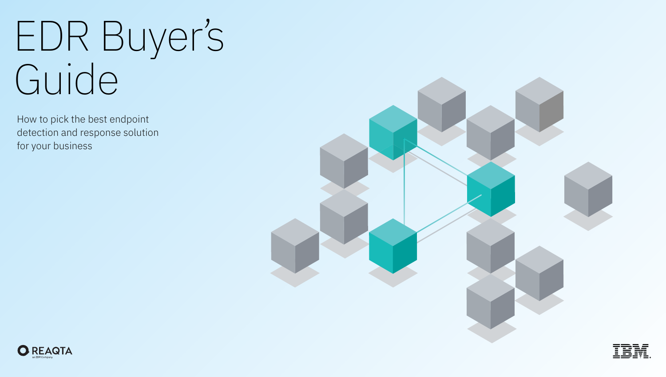# EDR Buyer's Guide

How to pick the best endpoint detection and response solution for your business



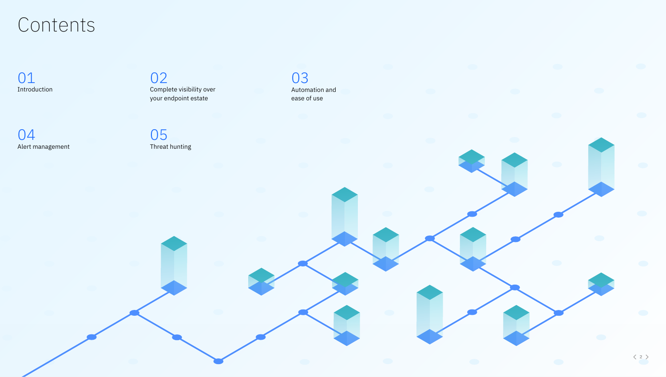## Contents

[01](#page-2-0) [Introduction](#page-2-0)

04 [Alert management](#page-5-0) 02

[05](#page-6-0)

Threat hunting

[Complete visibility over](#page-3-0)  your endpoint estate

03 [Automation and](#page-4-0)  ease of use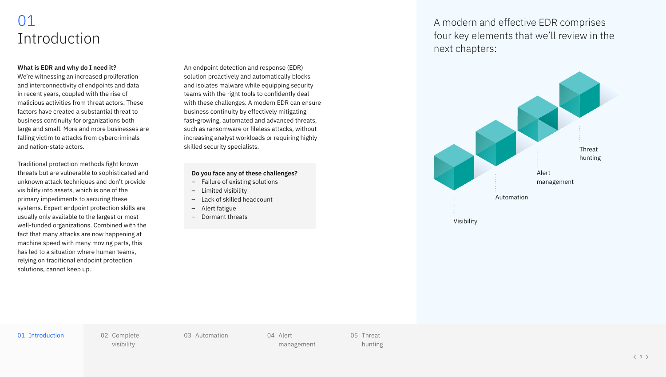### <span id="page-2-0"></span> $()$ <sup>1</sup> Introduction

**What is EDR and why do I need it?**

We're witnessing an increased proliferation and interconnectivity of endpoints and data in recent years, coupled with the rise of malicious activities from threat actors. These factors have created a substantial threat to business continuity for organizations both large and small. More and more businesses are falling victim to attacks from cybercriminals and nation-state actors.

Traditional protection methods fight known threats but are vulnerable to sophisticated and unknown attack techniques and don't provide visibility into assets, which is one of the primary impediments to securing these systems. Expert endpoint protection skills are usually only available to the largest or most well-funded organizations. Combined with the fact that many attacks are now happening at machine speed with many moving parts, this has led to a situation where human teams, relying on traditional endpoint protection solutions, cannot keep up.

An endpoint detection and response (EDR) solution proactively and automatically blocks and isolates malware while equipping security teams with the right tools to confidently deal with these challenges. A modern EDR can ensure business continuity by effectively mitigating fast-growing, automated and advanced threats, such as ransomware or fileless attacks, without increasing analyst workloads or requiring highly skilled security specialists.

#### **Do you face any of these challenges?**

- Failure of existing solutions
- Limited visibility
- Lack of skilled headcount
- Alert fatigue
- Dormant threats

A modern and effective EDR comprises four key elements that we'll review in the next chapters:



01 Introduction 02 Complete

visibility

04 Alert [03 Automation](#page-4-0) 04 Alert [05](#page-6-0) Threat

management

hunting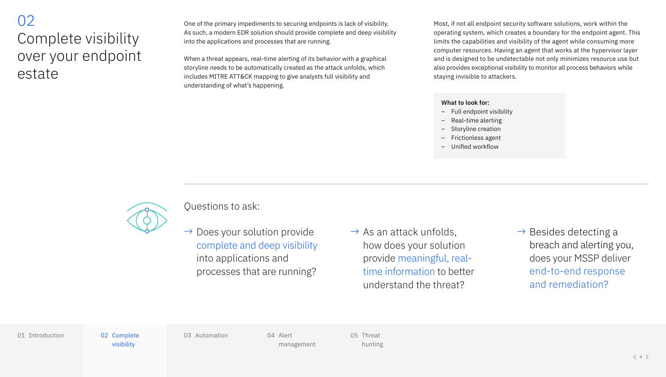### <span id="page-3-0"></span>02 Complete visibility over your endpoint estate

One of the primary impediments to securing endpoints is lack of visibility. As such, a modern EDR solution should provide complete and deep visibility into the applications and processes that are running.

When a threat appears, real-time alerting of its behavior with a graphical storyline needs to be automatically created as the attack unfolds, which includes MITRE ATT&CK mapping to give analysts full visibility and understanding of what's happening.

Most, if not all endpoint security software solutions, work within the operating system, which creates a boundary for the endpoint agent. This limits the capabilities and visibility of the agent while consuming more computer resources. Having an agent that works at the hypervisor layer and is designed to be undetectable not only minimizes resource use but also provides exceptional visibility to monitor all process behaviors while staying invisible to attackers.

### **What to look for:**

- Full endpoint visibility
- Real-time alerting
- Storyline creation
- Frictionless agent
- Unified workflow



Questions to ask:

- $\rightarrow$  Does your solution provide complete and deep visibility into applications and processes that are running?
- $\rightarrow$  As an attack unfolds. how does your solution provide meaningful, realtime information to better understand the threat?

 $\rightarrow$  Besides detecting a breach and alerting you, does your MSSP deliver end-to-end response and remediation?

01 [Introduction](#page-2-0) 02 Complete

visibility

[03 Automation](#page-4-0) 04 Alert

[management](#page-5-0)

05 Threat [hunting](#page-6-0)

 $\langle 4 \rangle$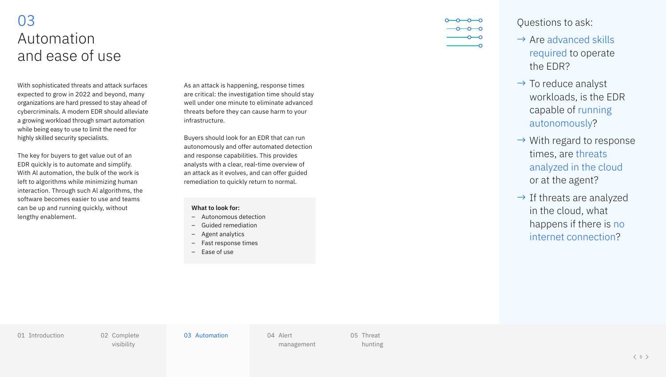### <span id="page-4-0"></span>03 Automation and ease of use

With sophisticated threats and attack surfaces expected to grow in 2022 and beyond, many organizations are hard pressed to stay ahead of cybercriminals. A modern EDR should alleviate a growing workload through smart automation while being easy to use to limit the need for highly skilled security specialists.

The key for buyers to get value out of an EDR quickly is to automate and simplify. With Al automation, the bulk of the work is left to algorithms while minimizing human interaction. Through such Al algorithms, the software becomes easier to use and teams can be up and running quickly, without lengthy enablement.

As an attack is happening, response times are critical: the investigation time should stay well under one minute to eliminate advanced threats before they can cause harm to your infrastructure.

Buyers should look for an EDR that can run autonomously and offer automated detection and response capabilities. This provides analysts with a clear, real-time overview of an attack as it evolves, and can offer guided remediation to quickly return to normal.

#### **What to look for:**

- Autonomous detection
- Guided remediation
- Agent analytics
- Fast response times
- Ease of use

- 
- Questions to ask:
- $\rightarrow$  Are advanced skills required to operate the EDR?
- $\rightarrow$  To reduce analyst workloads, is the EDR capable of running autonomously?
- $\rightarrow$  With regard to response times, are threats analyzed in the cloud or at the agent?
- $\rightarrow$  If threats are analyzed in the cloud, what happens if there is no internet connection?

01 [Introduction](#page-2-0) [02 Complete](#page-3-0) 

visibility

03 Automation 04 Alert

[management](#page-5-0)

05 Threat

[hunting](#page-6-0)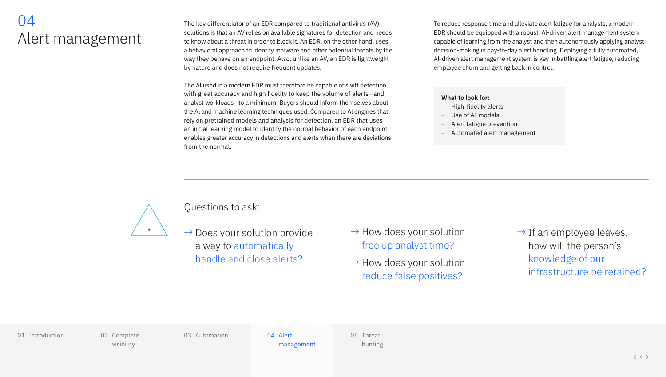### <span id="page-5-0"></span>04 Alert management

The key differentiator of an EDR compared to traditional antivirus (AV) solutions is that an AV relies on available signatures for detection and needs to know about a threat in order to block it. An EDR, on the other hand, uses a behavioral approach to identify malware and other potential threats by the way they behave on an endpoint. Also, unlike an AV, an EDR is lightweight by nature and does not require frequent updates.

The Al used in a modern EDR must therefore be capable of swift detection, with great accuracy and high fidelity to keep the volume of alerts—and analyst workloads—to a minimum. Buyers should inform themselves about the Al and machine learning techniques used. Compared to Al engines that rely on pretrained models and analysis for detection, an EDR that uses an initial learning model to identify the normal behavior of each endpoint enables greater accuracy in detections and alerts when there are deviations from the normal.

To reduce response time and alleviate alert fatigue for analysts, a modern EDR should be equipped with a robust, Al-driven alert management system capable of learning from the analyst and then autonomously applying analyst decision-making in day-to-day alert handling. Deploying a fully automated, Al-driven alert management system is key in battling alert fatigue, reducing employee churn and getting back in control.

#### **What to look for:**

- High-fidelity alerts
- Use of AI models
- Alert fatigue prevention
- Automated alert management



### Questions to ask:

- $\rightarrow$  Does your solution provide a way to automatically handle and close alerts?
- $\rightarrow$  How does your solution free up analyst time?
- $\rightarrow$  How does your solution reduce false positives?

 $\rightarrow$  If an employee leaves, how will the person's knowledge of our infrastructure be retained?

01 [Introduction](#page-2-0) [02 Complete](#page-3-0) 

visibility

[03 Automation](#page-4-0) **04 Alert** 

management

05 Threat [hunting](#page-6-0)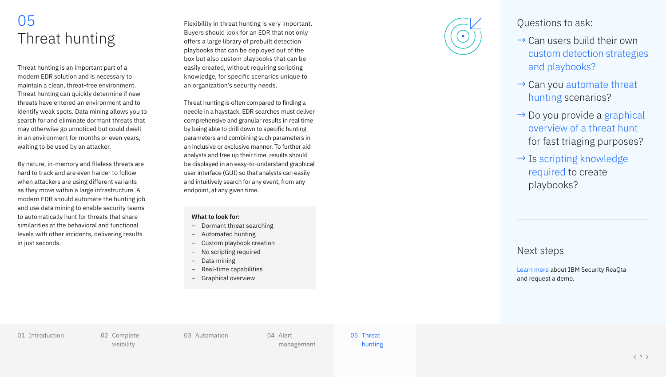### <span id="page-6-0"></span>05 Threat hunting

Threat hunting is an important part of a modern EDR solution and is necessary to maintain a clean, threat-free environment. Threat hunting can quickly determine if new threats have entered an environment and to identify weak spots. Data mining allows you to search for and eliminate dormant threats that may otherwise go unnoticed but could dwell in an environment for months or even years, waiting to be used by an attacker.

By nature, in-memory and fileless threats are hard to track and are even harder to follow when attackers are using different variants as they move within a large infrastructure. A modern EDR should automate the hunting job and use data mining to enable security teams to automatically hunt for threats that share similarities at the behavioral and functional levels with other incidents, delivering results in just seconds.

Flexibility in threat hunting is very important. Buyers should look for an EDR that not only offers a large library of prebuilt detection playbooks that can be deployed out of the box but also custom playbooks that can be easily created, without requiring scripting knowledge, for specific scenarios unique to an organization's security needs.

Threat hunting is often compared to finding a needle in a haystack. EDR searches must deliver comprehensive and granular results in real time by being able to drill down to specific hunting parameters and combining such parameters in an inclusive or exclusive manner. To further aid analysts and free up their time, results should be displayed in an easy-to-understand graphical user interface (GUI) so that analysts can easily and intuitively search for any event, from any endpoint, at any given time.

#### **What to look for:**

- Dormant threat searching
- Automated hunting
- Custom playbook creation
- No scripting required
- Data mining
- Real-time capabilities
- Graphical overview



### Questions to ask:

- $\rightarrow$  Can users build their own custom detection strategies and playbooks?
- $\rightarrow$  Can you automate threat hunting scenarios?
- $\rightarrow$  Do you provide a graphical overview of a threat hunt for fast triaging purposes?
- $\rightarrow$  Is scripting knowledge required to create playbooks?

### Next steps

[Learn more](http://ibm.com/products/reaqta) about IBM Security ReaQta and request a demo.

01 [Introduction](#page-2-0) [02 Complete](#page-3-0) 

visibility

[03 Automation](#page-4-0) 04 Alert

[management](#page-5-0)

05 Threat hunting

 $\langle 7 \rangle$